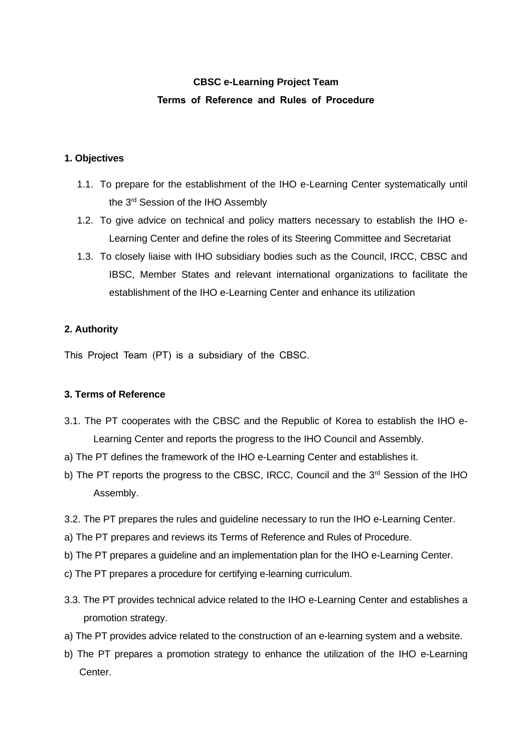# **CBSC e-Learning Project Team Terms of Reference and Rules of Procedure**

### **1. Objectives**

- 1.1. To prepare for the establishment of the IHO e-Learning Center systematically until the 3<sup>rd</sup> Session of the IHO Assembly
- 1.2. To give advice on technical and policy matters necessary to establish the IHO e-Learning Center and define the roles of its Steering Committee and Secretariat
- 1.3. To closely liaise with IHO subsidiary bodies such as the Council, IRCC, CBSC and IBSC, Member States and relevant international organizations to facilitate the establishment of the IHO e-Learning Center and enhance its utilization

## **2. Authority**

This Project Team (PT) is a subsidiary of the CBSC.

#### **3. Terms of Reference**

- 3.1. The PT cooperates with the CBSC and the Republic of Korea to establish the IHO e-Learning Center and reports the progress to the IHO Council and Assembly.
- a) The PT defines the framework of the IHO e-Learning Center and establishes it.
- b) The PT reports the progress to the CBSC, IRCC, Council and the 3<sup>rd</sup> Session of the IHO Assembly.
- 3.2. The PT prepares the rules and guideline necessary to run the IHO e-Learning Center.
- a) The PT prepares and reviews its Terms of Reference and Rules of Procedure.
- b) The PT prepares a guideline and an implementation plan for the IHO e-Learning Center.
- c) The PT prepares a procedure for certifying e-learning curriculum.
- 3.3. The PT provides technical advice related to the IHO e-Learning Center and establishes a promotion strategy.
- a) The PT provides advice related to the construction of an e-learning system and a website.
- b) The PT prepares a promotion strategy to enhance the utilization of the IHO e-Learning Center.